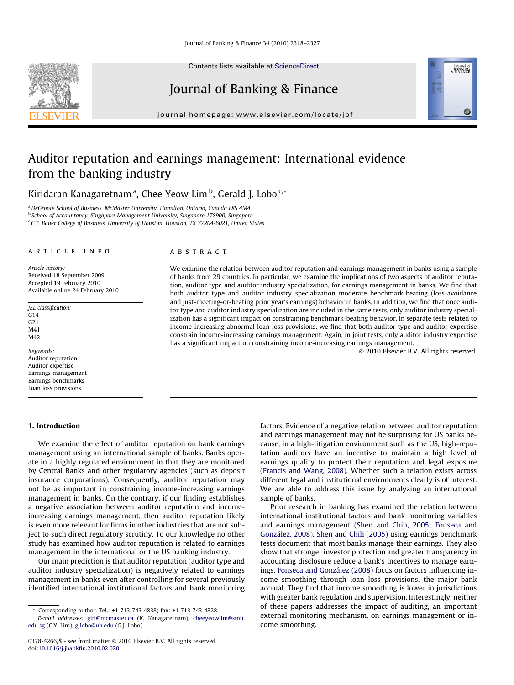Contents lists available at [ScienceDirect](http://www.sciencedirect.com/science/journal/03784266)

# Journal of Banking & Finance

journal homepage: [www.elsevier.com/locate/jbf](http://www.elsevier.com/locate/jbf)

# Auditor reputation and earnings management: International evidence from the banking industry

Kiridaran Kanagaretnam<sup>a</sup>, Chee Yeow Lim <sup>b</sup>, Gerald J. Lobo <sup>c,</sup>\*

<sup>a</sup> DeGroote School of Business, McMaster University, Hamilton, Ontario, Canada L8S 4M4

<sup>b</sup> School of Accountancy, Singapore Management University, Singapore 178900, Singapore

<sup>c</sup> C.T. Bauer College of Business, University of Houston, Houston, TX 77204-6021, United States

# article info

Article history: Received 18 September 2009 Accepted 19 February 2010 Available online 24 February 2010

JEL classification:  $G14$ G21 M41 M42

Keywords: Auditor reputation Auditor expertise Earnings management Earnings benchmarks Loan loss provisions

# 1. Introduction

# We examine the effect of auditor reputation on bank earnings management using an international sample of banks. Banks operate in a highly regulated environment in that they are monitored by Central Banks and other regulatory agencies (such as deposit insurance corporations). Consequently, auditor reputation may not be as important in constraining income-increasing earnings management in banks. On the contrary, if our finding establishes a negative association between auditor reputation and incomeincreasing earnings management, then auditor reputation likely is even more relevant for firms in other industries that are not subject to such direct regulatory scrutiny. To our knowledge no other study has examined how auditor reputation is related to earnings management in the international or the US banking industry.

Our main prediction is that auditor reputation (auditor type and auditor industry specialization) is negatively related to earnings management in banks even after controlling for several previously identified international institutional factors and bank monitoring

## **ABSTRACT**

We examine the relation between auditor reputation and earnings management in banks using a sample of banks from 29 countries. In particular, we examine the implications of two aspects of auditor reputation, auditor type and auditor industry specialization, for earnings management in banks. We find that both auditor type and auditor industry specialization moderate benchmark-beating (loss-avoidance and just-meeting-or-beating prior year's earnings) behavior in banks. In addition, we find that once auditor type and auditor industry specialization are included in the same tests, only auditor industry specialization has a significant impact on constraining benchmark-beating behavior. In separate tests related to income-increasing abnormal loan loss provisions, we find that both auditor type and auditor expertise constrain income-increasing earnings management. Again, in joint tests, only auditor industry expertise has a significant impact on constraining income-increasing earnings management.

- 2010 Elsevier B.V. All rights reserved.

factors. Evidence of a negative relation between auditor reputation and earnings management may not be surprising for US banks because, in a high-litigation environment such as the US, high-reputation auditors have an incentive to maintain a high level of earnings quality to protect their reputation and legal exposure ([Francis and Wang, 2008](#page-9-0)). Whether such a relation exists across different legal and institutional environments clearly is of interest. We are able to address this issue by analyzing an international sample of banks.

Prior research in banking has examined the relation between international institutional factors and bank monitoring variables and earnings management ([Shen and Chih, 2005; Fonseca and](#page-9-0) [González, 2008\)](#page-9-0). [Shen and Chih \(2005\)](#page-9-0) using earnings benchmark tests document that most banks manage their earnings. They also show that stronger investor protection and greater transparency in accounting disclosure reduce a bank's incentives to manage earnings. [Fonseca and González \(2008\)](#page-9-0) focus on factors influencing income smoothing through loan loss provisions, the major bank accrual. They find that income smoothing is lower in jurisdictions with greater bank regulation and supervision. Interestingly, neither of these papers addresses the impact of auditing, an important external monitoring mechanism, on earnings management or income smoothing.





<sup>\*</sup> Corresponding author. Tel.: +1 713 743 4838; fax: +1 713 743 4828.

E-mail addresses: [giri@mcmaster.ca](mailto:giri@mcmaster.ca) (K. Kanagaretnam), [cheeyeowlim@smu.](mailto:cheeyeowlim@smu. edu.sg) [edu.sg](mailto:cheeyeowlim@smu. edu.sg) (C.Y. Lim), [gjlobo@uh.edu](mailto:gjlobo@uh.edu) (G.J. Lobo).

<sup>0378-4266/\$ -</sup> see front matter © 2010 Elsevier B.V. All rights reserved. doi:[10.1016/j.jbankfin.2010.02.020](http://dx.doi.org/10.1016/j.jbankfin.2010.02.020)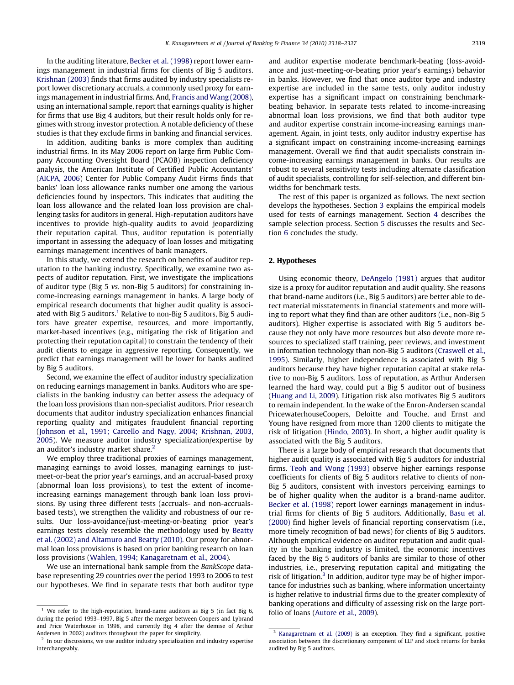In the auditing literature, [Becker et al. \(1998\)](#page-9-0) report lower earnings management in industrial firms for clients of Big 5 auditors. [Krishnan \(2003\)](#page-9-0) finds that firms audited by industry specialists report lower discretionary accruals, a commonly used proxy for earnings management in industrial firms. And, [Francis and Wang \(2008\),](#page-9-0) using an international sample, report that earnings quality is higher for firms that use Big 4 auditors, but their result holds only for regimes with strong investor protection. A notable deficiency of these studies is that they exclude firms in banking and financial services.

In addition, auditing banks is more complex than auditing industrial firms. In its May 2006 report on large firm Public Company Accounting Oversight Board (PCAOB) inspection deficiency analysis, the American Institute of Certified Public Accountants' ([AICPA, 2006\)](#page-9-0) Center for Public Company Audit Firms finds that banks' loan loss allowance ranks number one among the various deficiencies found by inspectors. This indicates that auditing the loan loss allowance and the related loan loss provision are challenging tasks for auditors in general. High-reputation auditors have incentives to provide high-quality audits to avoid jeopardizing their reputation capital. Thus, auditor reputation is potentially important in assessing the adequacy of loan losses and mitigating earnings management incentives of bank managers.

In this study, we extend the research on benefits of auditor reputation to the banking industry. Specifically, we examine two aspects of auditor reputation. First, we investigate the implications of auditor type (Big 5 vs. non-Big 5 auditors) for constraining income-increasing earnings management in banks. A large body of empirical research documents that higher audit quality is associated with Big 5 auditors.<sup>1</sup> Relative to non-Big 5 auditors, Big 5 auditors have greater expertise, resources, and more importantly, market-based incentives (e.g., mitigating the risk of litigation and protecting their reputation capital) to constrain the tendency of their audit clients to engage in aggressive reporting. Consequently, we predict that earnings management will be lower for banks audited by Big 5 auditors.

Second, we examine the effect of auditor industry specialization on reducing earnings management in banks. Auditors who are specialists in the banking industry can better assess the adequacy of the loan loss provisions than non-specialist auditors. Prior research documents that auditor industry specialization enhances financial reporting quality and mitigates fraudulent financial reporting ([Johnson et al., 1991; Carcello and Nagy, 2004; Krishnan, 2003,](#page-9-0) [2005](#page-9-0)). We measure auditor industry specialization/expertise by an auditor's industry market share.<sup>2</sup>

We employ three traditional proxies of earnings management, managing earnings to avoid losses, managing earnings to justmeet-or-beat the prior year's earnings, and an accrual-based proxy (abnormal loan loss provisions), to test the extent of incomeincreasing earnings management through bank loan loss provisions. By using three different tests (accruals- and non-accrualsbased tests), we strengthen the validity and robustness of our results. Our loss-avoidance/just-meeting-or-beating prior year's earnings tests closely resemble the methodology used by [Beatty](#page-9-0) [et al. \(2002\) and Altamuro and Beatty \(2010\)](#page-9-0). Our proxy for abnormal loan loss provisions is based on prior banking research on loan loss provisions [\(Wahlen, 1994; Kanagaretnam et al., 2004](#page-9-0)).

We use an international bank sample from the BankScope database representing 29 countries over the period 1993 to 2006 to test our hypotheses. We find in separate tests that both auditor type and auditor expertise moderate benchmark-beating (loss-avoidance and just-meeting-or-beating prior year's earnings) behavior in banks. However, we find that once auditor type and industry expertise are included in the same tests, only auditor industry expertise has a significant impact on constraining benchmarkbeating behavior. In separate tests related to income-increasing abnormal loan loss provisions, we find that both auditor type and auditor expertise constrain income-increasing earnings management. Again, in joint tests, only auditor industry expertise has a significant impact on constraining income-increasing earnings management. Overall we find that audit specialists constrain income-increasing earnings management in banks. Our results are robust to several sensitivity tests including alternate classification of audit specialists, controlling for self-selection, and different binwidths for benchmark tests.

The rest of this paper is organized as follows. The next section develops the hypotheses. Section [3](#page-2-0) explains the empirical models used for tests of earnings management. Section [4](#page-4-0) describes the sample selection process. Section [5](#page-4-0) discusses the results and Section [6](#page-7-0) concludes the study.

# 2. Hypotheses

Using economic theory, [DeAngelo \(1981\)](#page-9-0) argues that auditor size is a proxy for auditor reputation and audit quality. She reasons that brand-name auditors (i.e., Big 5 auditors) are better able to detect material misstatements in financial statements and more willing to report what they find than are other auditors (i.e., non-Big 5 auditors). Higher expertise is associated with Big 5 auditors because they not only have more resources but also devote more resources to specialized staff training, peer reviews, and investment in information technology than non-Big 5 auditors ([Craswell et al.,](#page-9-0) [1995\)](#page-9-0). Similarly, higher independence is associated with Big 5 auditors because they have higher reputation capital at stake relative to non-Big 5 auditors. Loss of reputation, as Arthur Andersen learned the hard way, could put a Big 5 auditor out of business ([Huang and Li, 2009\)](#page-9-0). Litigation risk also motivates Big 5 auditors to remain independent. In the wake of the Enron-Andersen scandal PricewaterhouseCoopers, Deloitte and Touche, and Ernst and Young have resigned from more than 1200 clients to mitigate the risk of litigation [\(Hindo, 2003](#page-9-0)). In short, a higher audit quality is associated with the Big 5 auditors.

There is a large body of empirical research that documents that higher audit quality is associated with Big 5 auditors for industrial firms. [Teoh and Wong \(1993\)](#page-9-0) observe higher earnings response coefficients for clients of Big 5 auditors relative to clients of non-Big 5 auditors, consistent with investors perceiving earnings to be of higher quality when the auditor is a brand-name auditor. [Becker et al. \(1998\)](#page-9-0) report lower earnings management in industrial firms for clients of Big 5 auditors. Additionally, [Basu et al.](#page-9-0) [\(2000\)](#page-9-0) find higher levels of financial reporting conservatism (i.e., more timely recognition of bad news) for clients of Big 5 auditors. Although empirical evidence on auditor reputation and audit quality in the banking industry is limited, the economic incentives faced by the Big 5 auditors of banks are similar to those of other industries, i.e., preserving reputation capital and mitigating the risk of litigation. $3$  In addition, auditor type may be of higher importance for industries such as banking, where information uncertainty is higher relative to industrial firms due to the greater complexity of banking operations and difficulty of assessing risk on the large port-

We refer to the high-reputation, brand-name auditors as Big 5 (in fact Big 6, folio of loans [\(Autore et al., 2009\)](#page-9-0). during the period 1993–1997, Big 5 after the merger between Coopers and Lybrand and Price Waterhouse in 1998, and currently Big 4 after the demise of Arthur Andersen in 2002) auditors throughout the paper for simplicity.

 $2$  In our discussions, we use auditor industry specialization and industry expertise interchangeably.

<sup>&</sup>lt;sup>3</sup> [Kanagaretnam et al. \(2009\)](#page-9-0) is an exception. They find a significant, positive association between the discretionary component of LLP and stock returns for banks audited by Big 5 auditors.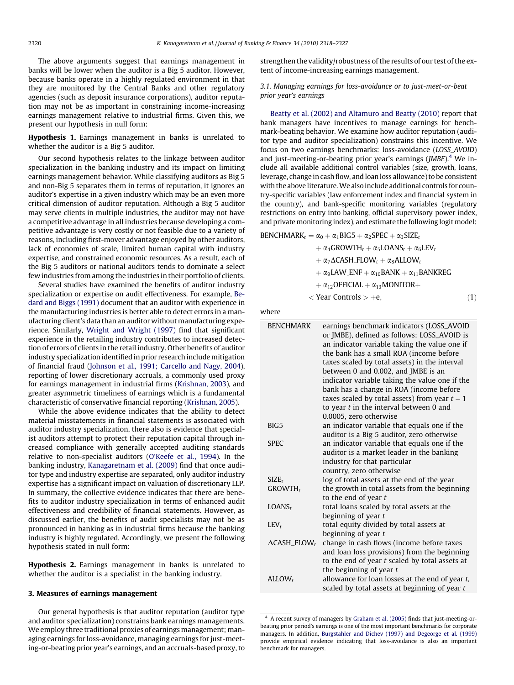<span id="page-2-0"></span>The above arguments suggest that earnings management in banks will be lower when the auditor is a Big 5 auditor. However, because banks operate in a highly regulated environment in that they are monitored by the Central Banks and other regulatory agencies (such as deposit insurance corporations), auditor reputation may not be as important in constraining income-increasing earnings management relative to industrial firms. Given this, we present our hypothesis in null form:

Hypothesis 1. Earnings management in banks is unrelated to whether the auditor is a Big 5 auditor.

Our second hypothesis relates to the linkage between auditor specialization in the banking industry and its impact on limiting earnings management behavior. While classifying auditors as Big 5 and non-Big 5 separates them in terms of reputation, it ignores an auditor's expertise in a given industry which may be an even more critical dimension of auditor reputation. Although a Big 5 auditor may serve clients in multiple industries, the auditor may not have a competitive advantage in all industries because developing a competitive advantage is very costly or not feasible due to a variety of reasons, including first-mover advantage enjoyed by other auditors, lack of economies of scale, limited human capital with industry expertise, and constrained economic resources. As a result, each of the Big 5 auditors or national auditors tends to dominate a select few industries from among the industries in their portfolio of clients.

Several studies have examined the benefits of auditor industry specialization or expertise on audit effectiveness. For example, [Be](#page-9-0)[dard and Biggs \(1991\)](#page-9-0) document that an auditor with experience in the manufacturing industries is better able to detect errors in a manufacturing client's data than an auditor without manufacturing experience. Similarly, [Wright and Wright \(1997\)](#page-9-0) find that significant experience in the retailing industry contributes to increased detection of errors of clients in the retail industry. Other benefits of auditor industry specialization identified in prior research include mitigation of financial fraud [\(Johnson et al., 1991; Carcello and Nagy, 2004\)](#page-9-0), reporting of lower discretionary accruals, a commonly used proxy for earnings management in industrial firms ([Krishnan, 2003](#page-9-0)), and greater asymmetric timeliness of earnings which is a fundamental characteristic of conservative financial reporting ([Krishnan, 2005\)](#page-9-0).

While the above evidence indicates that the ability to detect material misstatements in financial statements is associated with auditor industry specialization, there also is evidence that specialist auditors attempt to protect their reputation capital through increased compliance with generally accepted auditing standards relative to non-specialist auditors ([O'Keefe et al., 1994\)](#page-9-0). In the banking industry, [Kanagaretnam et al. \(2009\)](#page-9-0) find that once auditor type and industry expertise are separated, only auditor industry expertise has a significant impact on valuation of discretionary LLP. In summary, the collective evidence indicates that there are benefits to auditor industry specialization in terms of enhanced audit effectiveness and credibility of financial statements. However, as discussed earlier, the benefits of audit specialists may not be as pronounced in banking as in industrial firms because the banking industry is highly regulated. Accordingly, we present the following hypothesis stated in null form:

Hypothesis 2. Earnings management in banks is unrelated to whether the auditor is a specialist in the banking industry.

## 3. Measures of earnings management

Our general hypothesis is that auditor reputation (auditor type and auditor specialization) constrains bank earnings managements. We employ three traditional proxies of earnings management; managing earnings for loss-avoidance, managing earnings for just-meeting-or-beating prior year's earnings, and an accruals-based proxy, to strengthen the validity/robustness of the results of our test of the extent of income-increasing earnings management.

# 3.1. Managing earnings for loss-avoidance or to just-meet-or-beat prior year's earnings

[Beatty et al. \(2002\) and Altamuro and Beatty \(2010\)](#page-9-0) report that bank managers have incentives to manage earnings for benchmark-beating behavior. We examine how auditor reputation (auditor type and auditor specialization) constrains this incentive. We focus on two earnings benchmarks: loss-avoidance (LOSS\_AVOID) and just-meeting-or-beating prior year's earnings  $(JMBE)^4$  We include all available additional control variables (size, growth, loans, leverage, change in cash flow, and loan loss allowance) to be consistent with the above literature.We also include additional controls for country-specific variables (law enforcement index and financial system in the country), and bank-specific monitoring variables (regulatory restrictions on entry into banking, official supervisory power index, and private monitoring index), and estimate the following logit model:

BENCHMARK $t_1 = \alpha_0 + \alpha_1 BIG5 + \alpha_2$ SPEC +  $\alpha_3$ SIZEt  $+\alpha_4$ GROWTH<sub>t</sub> +  $\alpha_5$ LOANS<sub>t</sub> +  $\alpha_6$ LEV<sub>t</sub>  $+\alpha_7\Delta$ CASH\_FLOW<sub>t</sub> +  $\alpha_8$ ALLOW<sub>t</sub>  $+ \alpha_9$ LAW\_ENF  $+ \alpha_{10}$ BANK  $+ \alpha_{11}$ BANKREG +  $\alpha_{12}$ OFFICIAL +  $\alpha_{13}$ MONITOR+  $\langle$  Year Controls  $> +e$ ; (1)

where

| <b>BENCHMARK</b>                | earnings benchmark indicators (LOSS_AVOID<br>or JMBE), defined as follows: LOSS_AVOID is<br>an indicator variable taking the value one if<br>the bank has a small ROA (income before<br>taxes scaled by total assets) in the interval<br>between 0 and 0.002, and JMBE is an<br>indicator variable taking the value one if the<br>bank has a change in ROA (income before<br>taxes scaled by total assets) from year $t - 1$<br>to year $t$ in the interval between $0$ and<br>0.0005, zero otherwise |
|---------------------------------|-------------------------------------------------------------------------------------------------------------------------------------------------------------------------------------------------------------------------------------------------------------------------------------------------------------------------------------------------------------------------------------------------------------------------------------------------------------------------------------------------------|
| BIG5                            | an indicator variable that equals one if the                                                                                                                                                                                                                                                                                                                                                                                                                                                          |
|                                 | auditor is a Big 5 auditor, zero otherwise                                                                                                                                                                                                                                                                                                                                                                                                                                                            |
| <b>SPEC</b>                     | an indicator variable that equals one if the                                                                                                                                                                                                                                                                                                                                                                                                                                                          |
|                                 | auditor is a market leader in the banking                                                                                                                                                                                                                                                                                                                                                                                                                                                             |
|                                 | industry for that particular                                                                                                                                                                                                                                                                                                                                                                                                                                                                          |
|                                 | country, zero otherwise                                                                                                                                                                                                                                                                                                                                                                                                                                                                               |
| $SIZE_t$                        | log of total assets at the end of the year                                                                                                                                                                                                                                                                                                                                                                                                                                                            |
| $GROWTH_t$                      | the growth in total assets from the beginning<br>to the end of year $t$                                                                                                                                                                                                                                                                                                                                                                                                                               |
| LOANS <sub>r</sub>              | total loans scaled by total assets at the                                                                                                                                                                                                                                                                                                                                                                                                                                                             |
|                                 | beginning of year t                                                                                                                                                                                                                                                                                                                                                                                                                                                                                   |
| $LEV_t$                         | total equity divided by total assets at                                                                                                                                                                                                                                                                                                                                                                                                                                                               |
|                                 | beginning of year t                                                                                                                                                                                                                                                                                                                                                                                                                                                                                   |
| $\Delta$ CASH_FLOW <sub>t</sub> | change in cash flows (income before taxes                                                                                                                                                                                                                                                                                                                                                                                                                                                             |
|                                 | and loan loss provisions) from the beginning                                                                                                                                                                                                                                                                                                                                                                                                                                                          |
|                                 | to the end of year $t$ scaled by total assets at                                                                                                                                                                                                                                                                                                                                                                                                                                                      |
|                                 | the beginning of year $t$                                                                                                                                                                                                                                                                                                                                                                                                                                                                             |
| ALLOW <sub>r</sub>              | allowance for loan losses at the end of year $t$ ,<br>scaled by total assets at beginning of year t                                                                                                                                                                                                                                                                                                                                                                                                   |
|                                 |                                                                                                                                                                                                                                                                                                                                                                                                                                                                                                       |

<sup>4</sup> A recent survey of managers by [Graham et al. \(2005\)](#page-9-0) finds that just-meeting-orbeating prior period's earnings is one of the most important benchmarks for corporate managers. In addition, [Burgstahler and Dichev \(1997\) and Degeorge et al. \(1999\)](#page-9-0) provide empirical evidence indicating that loss-avoidance is also an important benchmark for managers.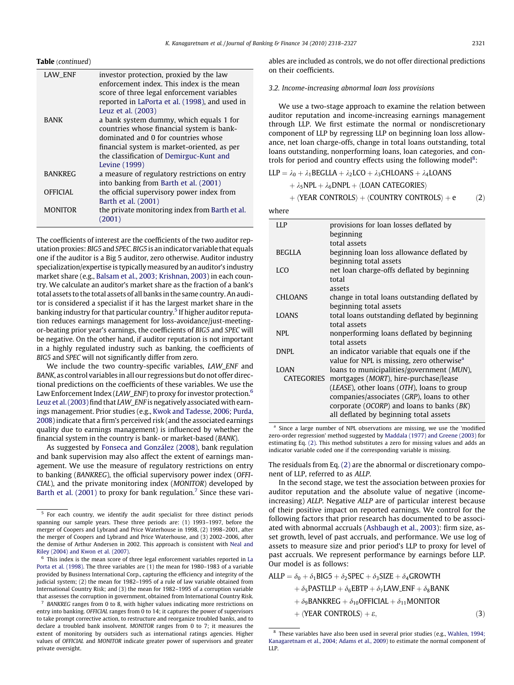# <span id="page-3-0"></span>Table (continued)

| <b>LAW ENF</b>  | investor protection, proxied by the law<br>enforcement index. This index is the mean<br>score of three legal enforcement variables |
|-----------------|------------------------------------------------------------------------------------------------------------------------------------|
|                 | reported in LaPorta et al. (1998), and used in                                                                                     |
|                 | Leuz et al. (2003)                                                                                                                 |
| <b>BANK</b>     | a bank system dummy, which equals 1 for                                                                                            |
|                 | countries whose financial system is bank-                                                                                          |
|                 | dominated and 0 for countries whose                                                                                                |
|                 | financial system is market-oriented, as per                                                                                        |
|                 | the classification of Demirguc-Kunt and                                                                                            |
|                 | Levine (1999)                                                                                                                      |
| <b>BANKREG</b>  | a measure of regulatory restrictions on entry                                                                                      |
|                 | into banking from Barth et al. (2001)                                                                                              |
| <b>OFFICIAL</b> | the official supervisory power index from<br>Barth et al. (2001)                                                                   |
| <b>MONITOR</b>  | the private monitoring index from Barth et al.<br>(2001)                                                                           |

The coefficients of interest are the coefficients of the two auditor reputation proxies: BIG5 and SPEC. BIG5 is an indicator variable that equals one if the auditor is a Big 5 auditor, zero otherwise. Auditor industry specialization/expertise is typically measured by an auditor's industry market share (e.g., [Balsam et al., 2003; Krishnan, 2003](#page-9-0)) in each country. We calculate an auditor's market share as the fraction of a bank's total assets to the total assets of all banks in the same country. An auditor is considered a specialist if it has the largest market share in the banking industry for that particular country.<sup>5</sup> If higher auditor reputation reduces earnings management for loss-avoidance/just-meetingor-beating prior year's earnings, the coefficients of BIG5 and SPEC will be negative. On the other hand, if auditor reputation is not important in a highly regulated industry such as banking, the coefficients of BIG5 and SPEC will not significantly differ from zero.

We include the two country-specific variables, LAW\_ENF and BANK, as control variables in all our regressions but do not offer directional predictions on the coefficients of these variables. We use the Law Enforcement Index (LAW\_ENF) to proxy for investor protection.<sup>6</sup> [Leuz et al. \(2003\)](#page-9-0) find that LAW\_ENF is negatively associated with earnings management. Prior studies (e.g., [Kwok and Tadesse, 2006; Purda,](#page-9-0) [2008\)](#page-9-0) indicate that a firm's perceived risk (and the associated earnings quality due to earnings management) is influenced by whether the financial system in the country is bank- or market-based (BANK).

As suggested by [Fonseca and González \(2008\)](#page-9-0), bank regulation and bank supervision may also affect the extent of earnings management. We use the measure of regulatory restrictions on entry to banking (BANKREG), the official supervisory power index (OFFI-CIAL), and the private monitoring index (MONITOR) developed by [Barth et al. \(2001\)](#page-9-0) to proxy for bank regulation.<sup>7</sup> Since these vari-

BANKREG ranges from 0 to 8, with higher values indicating more restrictions on entry into banking. OFFICIAL ranges from 0 to 14; it captures the power of supervisors to take prompt corrective action, to restructure and reorganize troubled banks, and to declare a troubled bank insolvent. MONITOR ranges from 0 to 7; it measures the extent of monitoring by outsiders such as international ratings agencies. Higher values of OFFICIAL and MONITOR indicate greater power of supervisors and greater private oversight.

ables are included as controls, we do not offer directional predictions on their coefficients.

## 3.2. Income-increasing abnormal loan loss provisions

We use a two-stage approach to examine the relation between auditor reputation and income-increasing earnings management through LLP. We first estimate the normal or nondiscretionary component of LLP by regressing LLP on beginning loan loss allowance, net loan charge-offs, change in total loans outstanding, total loans outstanding, nonperforming loans, loan categories, and controls for period and country effects using the following model<sup>8</sup>:

$$
LLP = \lambda_0 + \lambda_1 BEGLLA + \lambda_2 LCO + \lambda_3 CHLOANS + \lambda_4 LOANS
$$

$$
+ \lambda_5 NPL + \lambda_6 DNPL + \langle LOAN \; CATEGORIES \rangle
$$

 $+$   $\langle$ YEAR CONTROLS $\rangle$  +  $\langle$ COUNTRY CONTROLS $\rangle$  + e  $(2)$ 

where

| LLP            | provisions for loan losses deflated by<br>beginning          |
|----------------|--------------------------------------------------------------|
|                | total assets                                                 |
|                |                                                              |
| <b>BEGLLA</b>  | beginning loan loss allowance deflated by                    |
|                | beginning total assets                                       |
| LCO            | net loan charge-offs deflated by beginning                   |
|                | total                                                        |
|                | assets                                                       |
| <b>CHLOANS</b> | change in total loans outstanding deflated by                |
|                |                                                              |
|                | beginning total assets                                       |
| <b>LOANS</b>   | total loans outstanding deflated by beginning                |
|                | total assets                                                 |
| <b>NPL</b>     | nonperforming loans deflated by beginning                    |
|                | total assets                                                 |
| <b>DNPL</b>    | an indicator variable that equals one if the                 |
|                | value for NPL is missing, zero otherwise <sup>a</sup>        |
| LOAN           | loans to municipalities/government (MUN),                    |
| CATEGORIES     |                                                              |
|                | mortgages (MORT), hire-purchase/lease                        |
|                | ( <i>LEASE</i> ), other loans ( <i>OTH</i> ), loans to group |
|                | companies/associates (GRP), loans to other                   |
|                | corporate ( $OCORP$ ) and loans to banks ( $BK$ )            |
|                | all deflated by beginning total assets                       |
|                |                                                              |

<sup>a</sup> Since a large number of NPL observations are missing, we use the 'modified zero-order regression' method suggested by [Maddala \(1977\) and Greene \(2003\)](#page-9-0) for estimating Eq. (2). This method substitutes a zero for missing values and adds an indicator variable coded one if the corresponding variable is missing.

The residuals from Eq. (2) are the abnormal or discretionary component of LLP, referred to as ALLP.

In the second stage, we test the association between proxies for auditor reputation and the absolute value of negative (incomeincreasing) ALLP. Negative ALLP are of particular interest because of their positive impact on reported earnings. We control for the following factors that prior research has documented to be associated with abnormal accruals ([Ashbaugh et al., 2003\)](#page-9-0): firm size, asset growth, level of past accruals, and performance. We use log of assets to measure size and prior period's LLP to proxy for level of past accruals. We represent performance by earnings before LLP. Our model is as follows:

$$
ALLP = \delta_0 + \delta_1 \text{BIG5} + \delta_2 \text{SPEC} + \delta_3 \text{SIZE} + \delta_4 \text{GROWTH}
$$
  
+  $\delta_5 \text{PASTLLP} + \delta_6 \text{EBTP} + \delta_7 \text{LAW\_ENF} + \delta_8 \text{BANK}$   
+  $\delta_9 \text{BANKREG} + \delta_{10} \text{OFFICAL} + \delta_{11} \text{MONITOR}$   
+  $\langle \text{YEAR CONTROLS} \rangle + \varepsilon,$  (3)

<sup>5</sup> For each country, we identify the audit specialist for three distinct periods spanning our sample years. These three periods are: (1) 1993–1997, before the merger of Coopers and Lybrand and Price Waterhouse in 1998, (2) 1998–2001, after the merger of Coopers and Lybrand and Price Waterhouse, and (3) 2002–2006, after the demise of Arthur Andersen in 2002. This approach is consistent with [Neal and](#page-9-0) [Riley \(2004\) and Kwon et al. \(2007\)](#page-9-0).

This index is the mean score of three legal enforcement variables reported in [La](#page-9-0) [Porta et al. \(1998\)](#page-9-0). The three variables are (1) the mean for 1980–1983 of a variable provided by Business International Corp., capturing the efficiency and integrity of the judicial system; (2) the mean for 1982–1995 of a rule of law variable obtained from International Country Risk; and (3) the mean for 1982–1995 of a corruption variable that assesses the corruption in government, obtained from International Country Risk.

 $8$  These variables have also been used in several prior studies (e.g., [Wahlen, 1994;](#page-9-0) [Kanagaretnam et al., 2004; Adams et al., 2009](#page-9-0)) to estimate the normal component of LLP.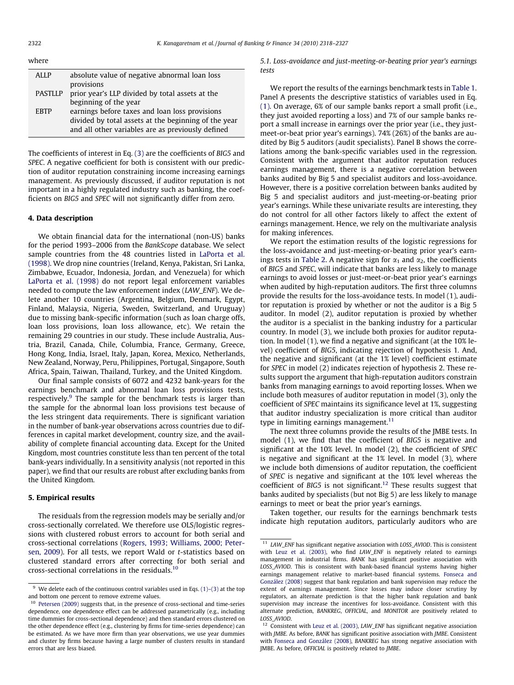<span id="page-4-0"></span>

| where |  |  |
|-------|--|--|
|       |  |  |

| ALLP           | absolute value of negative abnormal loan loss        |
|----------------|------------------------------------------------------|
|                | provisions                                           |
| <b>PASTLLP</b> | prior year's LLP divided by total assets at the      |
|                | beginning of the year                                |
| <b>FRTP</b>    | earnings before taxes and loan loss provisions       |
|                | divided by total assets at the beginning of the year |
|                | and all other variables are as previously defined    |
|                |                                                      |

The coefficients of interest in Eq. [\(3\)](#page-3-0) are the coefficients of BIG5 and SPEC. A negative coefficient for both is consistent with our prediction of auditor reputation constraining income increasing earnings management. As previously discussed, if auditor reputation is not important in a highly regulated industry such as banking, the coefficients on BIG5 and SPEC will not significantly differ from zero.

## 4. Data description

We obtain financial data for the international (non-US) banks for the period 1993–2006 from the BankScope database. We select sample countries from the 48 countries listed in [LaPorta et al.](#page-9-0) [\(1998\).](#page-9-0) We drop nine countries (Ireland, Kenya, Pakistan, Sri Lanka, Zimbabwe, Ecuador, Indonesia, Jordan, and Venezuela) for which [LaPorta et al. \(1998\)](#page-9-0) do not report legal enforcement variables needed to compute the law enforcement index (LAW\_ENF). We delete another 10 countries (Argentina, Belgium, Denmark, Egypt, Finland, Malaysia, Nigeria, Sweden, Switzerland, and Uruguay) due to missing bank-specific information (such as loan charge offs, loan loss provisions, loan loss allowance, etc). We retain the remaining 29 countries in our study. These include Australia, Austria, Brazil, Canada, Chile, Columbia, France, Germany, Greece, Hong Kong, India, Israel, Italy, Japan, Korea, Mexico, Netherlands, New Zealand, Norway, Peru, Philippines, Portugal, Singapore, South Africa, Spain, Taiwan, Thailand, Turkey, and the United Kingdom.

Our final sample consists of 6072 and 4232 bank-years for the earnings benchmark and abnormal loan loss provisions tests, respectively.<sup>9</sup> The sample for the benchmark tests is larger than the sample for the abnormal loan loss provisions test because of the less stringent data requirements. There is significant variation in the number of bank-year observations across countries due to differences in capital market development, country size, and the availability of complete financial accounting data. Except for the United Kingdom, most countries constitute less than ten percent of the total bank-years individually. In a sensitivity analysis (not reported in this paper), we find that our results are robust after excluding banks from the United Kingdom.

# 5. Empirical results

The residuals from the regression models may be serially and/or cross-sectionally correlated. We therefore use OLS/logistic regressions with clustered robust errors to account for both serial and cross-sectional correlations ([Rogers, 1993; Williams, 2000; Peter](#page-9-0)[sen, 2009\)](#page-9-0). For all tests, we report Wald or t-statistics based on clustered standard errors after correcting for both serial and cross-sectional correlations in the residuals.10

5.1. Loss-avoidance and just-meeting-or-beating prior year's earnings tests

We report the results of the earnings benchmark tests in [Table 1.](#page-5-0) Panel A presents the descriptive statistics of variables used in Eq. [\(1\)](#page-2-0). On average, 6% of our sample banks report a small profit (i.e., they just avoided reporting a loss) and 7% of our sample banks report a small increase in earnings over the prior year (i.e., they justmeet-or-beat prior year's earnings). 74% (26%) of the banks are audited by Big 5 auditors (audit specialists). Panel B shows the correlations among the bank-specific variables used in the regression. Consistent with the argument that auditor reputation reduces earnings management, there is a negative correlation between banks audited by Big 5 and specialist auditors and loss-avoidance. However, there is a positive correlation between banks audited by Big 5 and specialist auditors and just-meeting-or-beating prior year's earnings. While these univariate results are interesting, they do not control for all other factors likely to affect the extent of earnings management. Hence, we rely on the multivariate analysis for making inferences.

We report the estimation results of the logistic regressions for the loss-avoidance and just-meeting-or-beating prior year's earn-ings tests in [Table 2](#page-6-0). A negative sign for  $\alpha_1$  and  $\alpha_2$ , the coefficients of BIG5 and SPEC, will indicate that banks are less likely to manage earnings to avoid losses or just-meet-or-beat prior year's earnings when audited by high-reputation auditors. The first three columns provide the results for the loss-avoidance tests. In model (1), auditor reputation is proxied by whether or not the auditor is a Big 5 auditor. In model (2), auditor reputation is proxied by whether the auditor is a specialist in the banking industry for a particular country. In model (3), we include both proxies for auditor reputation. In model (1), we find a negative and significant (at the 10% level) coefficient of BIG5, indicating rejection of hypothesis 1. And, the negative and significant (at the 1% level) coefficient estimate for SPEC in model (2) indicates rejection of hypothesis 2. These results support the argument that high-reputation auditors constrain banks from managing earnings to avoid reporting losses. When we include both measures of auditor reputation in model (3), only the coefficient of SPEC maintains its significance level at 1%, suggesting that auditor industry specialization is more critical than auditor type in limiting earnings management.<sup>11</sup>

The next three columns provide the results of the JMBE tests. In model (1), we find that the coefficient of BIG5 is negative and significant at the 10% level. In model (2), the coefficient of SPEC is negative and significant at the 1% level. In model (3), where we include both dimensions of auditor reputation, the coefficient of SPEC is negative and significant at the 10% level whereas the coefficient of BIG5 is not significant.<sup>12</sup> These results suggest that banks audited by specialists (but not Big 5) are less likely to manage earnings to meet or beat the prior year's earnings.

Taken together, our results for the earnings benchmark tests indicate high reputation auditors, particularly auditors who are

 $^9\,$  We delete each of the continuous control variables used in Eqs. [\(1\)–\(3\)](#page-2-0) at the top and bottom one percent to remove extreme values.

<sup>10</sup> [Petersen \(2009\)](#page-9-0) suggests that, in the presence of cross-sectional and time-series dependence, one dependence effect can be addressed parametrically (e.g., including time dummies for cross-sectional dependence) and then standard errors clustered on the other dependence effect (e.g., clustering by firms for time-series dependence) can be estimated. As we have more firm than year observations, we use year dummies and cluster by firms because having a large number of clusters results in standard errors that are less biased.

 $11$  LAW\_ENF has significant negative association with LOSS\_AVIOD. This is consistent with [Leuz et al. \(2003\),](#page-9-0) who find LAW\_ENF is negatively related to earnings management in industrial firms. BANK has significant positive association with LOSS\_AVIOD. This is consistent with bank-based financial systems having higher earnings management relative to market-based financial systems. [Fonseca and](#page-9-0) [González \(2008\)](#page-9-0) suggest that bank regulation and bank supervision may reduce the extent of earnings management. Since losses may induce closer scrutiny by regulators, an alternate prediction is that the higher bank regulation and bank supervision may increase the incentives for loss-avoidance. Consistent with this alternate prediction, BANKREG, OFFICIAL, and MONITOR are positively related to LOSS\_AVIOD.

 $12$  Consistent with [Leuz et al. \(2003\),](#page-9-0) LAW ENF has significant negative association with JMBE. As before, BANK has significant positive association with JMBE. Consistent with [Fonseca and González \(2008\)](#page-9-0), BANKREG has strong negative association with JMBE. As before, OFFICIAL is positively related to JMBE.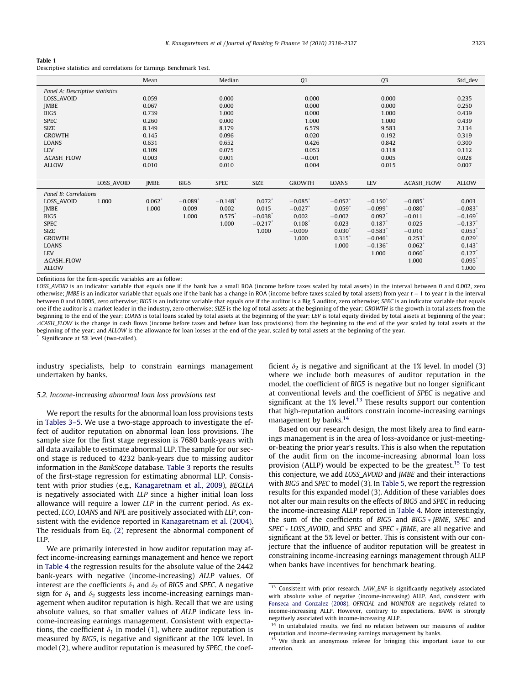#### <span id="page-5-0"></span>Table 1

Descriptive statistics and correlations for Earnings Benchmark Test.

|                                 |            | Mean                 |                       | Median                |                       | Q <sub>1</sub>        |                       | Q <sub>3</sub>        |                       | Std_dev               |
|---------------------------------|------------|----------------------|-----------------------|-----------------------|-----------------------|-----------------------|-----------------------|-----------------------|-----------------------|-----------------------|
| Panel A: Descriptive statistics |            |                      |                       |                       |                       |                       |                       |                       |                       |                       |
| LOSS_AVOID                      |            | 0.059                |                       | 0.000                 |                       | 0.000                 |                       | 0.000                 |                       | 0.235                 |
| <b>JMBE</b>                     |            | 0.067                |                       | 0.000                 |                       | 0.000                 |                       | 0.000                 |                       | 0.250                 |
| BIG5                            |            | 0.739                |                       | 1.000                 |                       | 0.000                 |                       | 1.000                 |                       | 0.439                 |
| <b>SPEC</b>                     |            | 0.260                |                       | 0.000                 |                       | 1.000                 |                       | 1.000                 |                       | 0.439                 |
| <b>SIZE</b>                     |            | 8.149                |                       | 8.179                 |                       | 6.579                 |                       | 9.583                 |                       | 2.134                 |
| <b>GROWTH</b>                   |            | 0.145                |                       | 0.096                 |                       | 0.020                 |                       | 0.192                 |                       | 0.319                 |
| LOANS                           |            | 0.631                |                       | 0.652                 |                       | 0.426                 |                       | 0.842                 |                       | 0.300                 |
| LEV                             |            | 0.109                |                       | 0.075                 |                       | 0.053                 |                       | 0.118                 |                       | 0.112                 |
| <b>ACASH_FLOW</b>               |            | 0.003                |                       | 0.001                 |                       | $-0.001$              |                       | 0.005                 |                       | 0.028                 |
| <b>ALLOW</b>                    |            | 0.010                |                       | 0.010                 |                       | 0.004                 |                       | 0.015                 |                       | 0.007                 |
|                                 |            |                      |                       |                       |                       |                       |                       |                       |                       |                       |
|                                 | LOSS_AVOID | <b>IMBE</b>          | BIG5                  | <b>SPEC</b>           | <b>SIZE</b>           | <b>GROWTH</b>         | LOANS                 | LEV                   | <b>ACASH_FLOW</b>     | <b>ALLOW</b>          |
| Panel B: Correlations           |            |                      |                       |                       |                       |                       |                       |                       |                       |                       |
| LOSS_AVOID                      | 1.000      | $0.062$ <sup>*</sup> | $-0.089$ <sup>*</sup> | $-0.148$ <sup>*</sup> | $0.072$ <sup>*</sup>  | $-0.085$ <sup>*</sup> | $-0.052$ <sup>*</sup> | $-0.150$ <sup>*</sup> | $-0.085$ <sup>*</sup> | 0.003                 |
| <b>JMBE</b>                     |            | 1.000                | 0.009                 | 0.002                 | 0.015                 | $-0.027$ <sup>*</sup> | 0.059"                | $-0.099$ <sup>*</sup> | $-0.080$ <sup>*</sup> | $-0.083$ <sup>*</sup> |
| BIG5                            |            |                      | 1.000                 | $0.575$ <sup>*</sup>  | $-0.038$ <sup>*</sup> | 0.002                 | $-0.002$              | $0.092^*$             | $-0.011$              | $-0.169$ <sup>*</sup> |
| <b>SPEC</b>                     |            |                      |                       | 1.000                 | $-0.217$ <sup>*</sup> | $0.108$ <sup>*</sup>  | 0.023                 | $0.187$ <sup>*</sup>  | 0.025                 | $-0.137$ <sup>*</sup> |
| <b>SIZE</b>                     |            |                      |                       |                       | 1.000                 | $-0.009$              | $0.030*$              | $-0.583$ <sup>*</sup> | $-0.010$              | $0.053*$              |
| <b>GROWTH</b>                   |            |                      |                       |                       |                       | 1.000                 | 0.315"                | $-0.046*$             | $0.253$ <sup>*</sup>  | $0.029*$              |
| LOANS                           |            |                      |                       |                       |                       |                       | 1.000                 | $-0.136$ <sup>*</sup> | $0.062^*$             | $0.143*$              |
| <b>LEV</b>                      |            |                      |                       |                       |                       |                       |                       | 1.000                 | 0.060                 | $0.127$ <sup>*</sup>  |
| <b>ACASH_FLOW</b>               |            |                      |                       |                       |                       |                       |                       |                       | 1.000                 | 0.095                 |
| <b>ALLOW</b>                    |            |                      |                       |                       |                       |                       |                       |                       |                       | 1.000                 |

Definitions for the firm-specific variables are as follow:

LOSS\_AVOID is an indicator variable that equals one if the bank has a small ROA (income before taxes scaled by total assets) in the interval between 0 and 0.002, zero otherwise; JMBE is an indicator variable that equals one if the bank has a change in ROA (income before taxes scaled by total assets) from year  $t$  – 1 to year  $t$  in the interval between 0 and 0.0005, zero otherwise; BIG5 is an indicator variable that equals one if the auditor is a Big 5 auditor, zero otherwise; SPEC is an indicator variable that equals one if the auditor is a market leader in the industry, zero otherwise; SIZE is the log of total assets at the beginning of the year; GROWTH is the growth in total assets from the beginning to the end of the year; LOANS is total loans scaled by total assets at the beginning of the year; LEV is total equity divided by total assets at beginning of the year; ACASH\_FLOW is the change in cash flows (income before taxes and before loan loss provisions) from the beginning to the end of the year scaled by total assets at the beginning of the year; and ALLOW is the allowance for loan losses at the end of the year, scaled by total assets at the beginning of the year.

Significance at 5% level (two-tailed).

industry specialists, help to constrain earnings management undertaken by banks.

### 5.2. Income-increasing abnormal loan loss provisions test

We report the results for the abnormal loan loss provisions tests in [Tables 3–5.](#page-7-0) We use a two-stage approach to investigate the effect of auditor reputation on abnormal loan loss provisions. The sample size for the first stage regression is 7680 bank-years with all data available to estimate abnormal LLP. The sample for our second stage is reduced to 4232 bank-years due to missing auditor information in the BankScope database. [Table 3](#page-7-0) reports the results of the first-stage regression for estimating abnormal LLP. Consistent with prior studies (e.g., [Kanagaretnam et al., 2009\)](#page-9-0), BEGLLA is negatively associated with LLP since a higher initial loan loss allowance will require a lower LLP in the current period. As expected, LCO, LOANS and NPL are positively associated with LLP, consistent with the evidence reported in [Kanagaretnam et al. \(2004\).](#page-9-0) The residuals from Eq. [\(2\)](#page-3-0) represent the abnormal component of LLP.

We are primarily interested in how auditor reputation may affect income-increasing earnings management and hence we report in [Table 4](#page-8-0) the regression results for the absolute value of the 2442 bank-years with negative (income-increasing) ALLP values. Of interest are the coefficients  $\delta_1$  and  $\delta_2$  of BIG5 and SPEC. A negative sign for  $\delta_1$  and  $\delta_2$  suggests less income-increasing earnings management when auditor reputation is high. Recall that we are using absolute values, so that smaller values of ALLP indicate less income-increasing earnings management. Consistent with expectations, the coefficient  $\delta_1$  in model (1), where auditor reputation is measured by BIG5, is negative and significant at the 10% level. In model (2), where auditor reputation is measured by SPEC, the coefficient  $\delta_2$  is negative and significant at the 1% level. In model (3) where we include both measures of auditor reputation in the model, the coefficient of BIG5 is negative but no longer significant at conventional levels and the coefficient of SPEC is negative and significant at the  $1\%$  level.<sup>13</sup> These results support our contention that high-reputation auditors constrain income-increasing earnings management by banks.<sup>14</sup>

Based on our research design, the most likely area to find earnings management is in the area of loss-avoidance or just-meetingor-beating the prior year's results. This is also when the reputation of the audit firm on the income-increasing abnormal loan loss provision (ALLP) would be expected to be the greatest.<sup>15</sup> To test this conjecture, we add LOSS\_AVOID and JMBE and their interactions with BIG5 and SPEC to model (3). In [Table 5](#page-8-0), we report the regression results for this expanded model (3). Addition of these variables does not alter our main results on the effects of BIG5 and SPEC in reducing the income-increasing ALLP reported in [Table 4.](#page-8-0) More interestingly, the sum of the coefficients of BIG5 and BIG5  $\ast$  JBME, SPEC and  $SPEC * LOSS$ \_AVOID, and SPEC and SPEC  $*$  JBME, are all negative and significant at the 5% level or better. This is consistent with our conjecture that the influence of auditor reputation will be greatest in constraining income-increasing earnings management through ALLP when banks have incentives for benchmark beating.

<sup>&</sup>lt;sup>13</sup> Consistent with prior research, LAW\_ENF is significantly negatively associated with absolute value of negative (income-increasing) ALLP. And, consistent with [Fonseca and Gonzalez \(2008\),](#page-9-0) OFFICIAL and MONITOR are negatively related to income-increasing ALLP. However, contrary to expectations, BANK is strongly negatively associated with income-increasing ALLP.

In untabulated results, we find no relation between our measures of auditor reputation and income-decreasing earnings management by banks.

<sup>&</sup>lt;sup>15</sup> We thank an anonymous referee for bringing this important issue to our attention.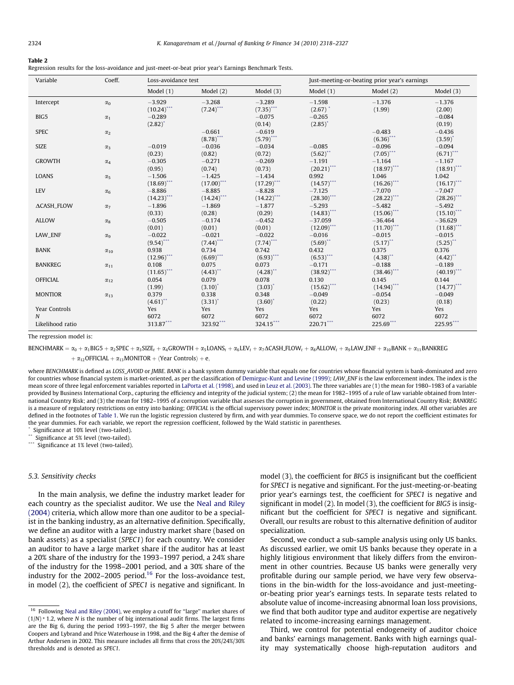#### <span id="page-6-0"></span>Table 2

Regression results for the loss-avoidance and just-meet-or-beat prior year's Earnings Benchmark Tests.

| Variable                        | Coeff.                | Loss-avoidance test               |                                 |                                 | Just-meeting-or-beating prior year's earnings |                                 |                                      |  |
|---------------------------------|-----------------------|-----------------------------------|---------------------------------|---------------------------------|-----------------------------------------------|---------------------------------|--------------------------------------|--|
|                                 |                       | Model $(1)$                       | Model $(2)$                     | Model $(3)$                     | Model $(1)$                                   | Model $(2)$                     | Model $(3)$                          |  |
| Intercept                       | $\alpha_0$            | $-3.929$<br>$(10.24)$ ***         | $-3.268$<br>$(7.24)$ ***        | $-3.289$<br>$(7.35)$ ***        | $-1.598$<br>$(2.67)$ <sup>*</sup>             | $-1.376$<br>(1.99)              | $-1.376$<br>(2.00)                   |  |
| BIG5                            | $\alpha_1$            | $-0.289$<br>$(2.82)^{^{\circ}}$   |                                 | $-0.075$<br>(0.14)              | $-0.265$<br>$(2.85)^{*}$                      |                                 | $-0.084$<br>(0.19)                   |  |
| <b>SPEC</b>                     | $\alpha_{2}$          |                                   | $-0.661$<br>$(8.78)$ ***        | $-0.619$<br>$(5.79)$ ***        |                                               | $-0.483$<br>$(6.36)$ ***        | $-0.436$<br>$(3.59)^{*}$             |  |
| <b>SIZE</b>                     | $\alpha_3$            | $-0.019$<br>(0.23)                | $-0.036$<br>(0.82)              | $-0.034$<br>(0.72)              | $-0.085$<br>$(5.62)$ **                       | $-0.096$<br>$(7.05)$ ***        | $-0.094$<br>$(6.71)$ ***             |  |
| <b>GROWTH</b>                   | $\alpha_4$            | $-0.305$<br>(0.95)                | $-0.271$<br>(0.74)              | $-0.269$<br>(0.73)              | $-1.191$<br>$(20.21)$ ***                     | $-1.164$<br>$(18.97)$ ***       | $-1.167$<br>$(18.91)$ ***            |  |
| LOANS                           | $\alpha_{5}$          | $-1.506$<br>$(18.69)$ ***         | $-1.425$<br>$(17.00)$ ***       | $-1.434$<br>$(17.29)$ ***       | 0.992<br>$(14.57)$ ***                        | 1.046<br>$(16.26)$ ***          | 1.042<br>$(16.17)$ ***               |  |
| <b>LEV</b>                      | $\alpha_6$            | $-8.886$<br>$(14.23)$ ***         | $-8.885$<br>$(14.24)$ ***       | $-8.828$<br>$(14.22)$ ***       | $-7.125$<br>$(28.30)$ ***                     | $-7.070$<br>$(28.22)$ ***       | $-7.047$<br>$(28.26)$ ***            |  |
| <b>ACASH_FLOW</b>               | $\alpha$ <sub>7</sub> | $-1.896$<br>(0.33)                | $-1.869$<br>(0.28)              | $-1.877$<br>(0.29)              | $-5.293$<br>$(14.83)$ ***                     | $-5.482$<br>$(15.06)$ ***       | $-5.492$<br>$(15.10)^{***}$          |  |
| <b>ALLOW</b>                    | $\alpha_8$            | $-0.505$<br>(0.01)                | $-0.174$<br>(0.01)              | $-0.452$<br>(0.01)              | $-37.059$<br>$(12.09)$ ***                    | $-36.464$<br>$(11.70)$ ***      | $-36.629$<br>$(11.68)$ ***           |  |
| LAW_ENF                         | $\alpha_{9}$          | $-0.022$<br>$(9.54)$ ***          | $-0.021$<br>$(7.44)$ ***        | $-0.022$<br>$(7.74)$ ***        | $-0.016$<br>$(5.69)$ **                       | $-0.015$<br>$(5.17)^{**}$       | $-0.015$<br>$(5.25)$ **              |  |
| <b>BANK</b>                     | $\alpha_{10}$         | 0.938<br>$(12.96)$ ***            | 0.734<br>$(6.69)$ ***           | 0.742<br>$(6.93)$ ***           | 0.432<br>$(6.53)$ ***                         | 0.375<br>$(4.38)$ <sup>**</sup> | 0.376<br>$(4.42)$ <sup>**</sup>      |  |
| <b>BANKREG</b>                  | $\alpha_{11}$         | 0.108<br>$(11.65)$ <sup>***</sup> | 0.075<br>$(4.43)$ <sup>**</sup> | 0.073<br>$(4.28)$ <sup>**</sup> | $-0.171$<br>$(38.92)$ ***                     | $-0.188$<br>$(38.46)$ ***       | $-0.189$<br>$(40.19)$ <sup>***</sup> |  |
| <b>OFFICIAL</b>                 | $\alpha_{12}$         | 0.054<br>(1.99)                   | 0.079<br>$(3.10)^{*}$           | 0.078<br>$(3.03)^{*}$           | 0.130<br>$(15.62)$ ***                        | 0.145<br>$(14.94)$ ***          | 0.144<br>$(14.77)$ ***               |  |
| <b>MONTIOR</b>                  | $\alpha_{13}$         | 0.379<br>$(4.61)$ **              | 0.338<br>$(3.31)^{*}$           | 0.348<br>$(3.60)^{*}$           | $-0.049$<br>(0.22)                            | $-0.054$<br>(0.23)              | $-0.049$<br>(0.18)                   |  |
| Year Controls                   |                       | Yes                               | Yes                             | Yes                             | Yes                                           | Yes                             | Yes                                  |  |
| $\mathbf N$<br>Likelihood ratio |                       | 6072<br>$313.87***$               | 6072<br>323.92***               | 6072<br>324.15***               | 6072<br>220.71***                             | 6072<br>225.69***               | 6072<br>225.95***                    |  |

The regression model is:

BENCHMARK =  $\alpha_0 + \alpha_1 BIG5 + \alpha_2 SPEC + \alpha_3 SIZE_t + \alpha_4 GROWTH + \alpha_5 LOANS_t + \alpha_6 LEV_t + \alpha_7 \Delta CASH.FLOW_t + \alpha_8 ALLOW_t + \alpha_9 LAW\_ENE + \alpha_{10} BANK + \alpha_{11} BANKEC$  $+\alpha_{12}$ OFFICIAL  $+\alpha_{13}$ MONITOR  $+\langle$ Year Controls $\rangle + e$ ,

where BENCHMARK is defined as LOSS\_AVOID or JMBE. BANK is a bank system dummy variable that equals one for countries whose financial system is bank-dominated and zero for countries whose financial system is market-oriented, as per the classification of [Demirguc-Kunt and Levine \(1999\)](#page-9-0); LAW\_ENF is the law enforcement index. The index is the mean score of three legal enforcement variables reported in [LaPorta et al. \(1998\)](#page-9-0), and used in [Leuz et al. \(2003\).](#page-9-0) The three variables are (1) the mean for 1980–1983 of a variable provided by Business International Corp., capturing the efficiency and integrity of the judicial system; (2) the mean for 1982-1995 of a rule of law variable obtained from International Country Risk; and (3) the mean for 1982–1995 of a corruption variable that assesses the corruption in government, obtained from International Country Risk; BANKREG is a measure of regulatory restrictions on entry into banking; OFFICIAL is the official supervisory power index; MONITOR is the private monitoring index. All other variables are defined in the footnotes of [Table 1](#page-5-0). We run the logistic regression clustered by firm, and with year dummies. To conserve space, we do not report the coefficient estimates for the year dummies. For each variable, we report the regression coefficient, followed by the Wald statistic in parentheses.

Significance at 10% level (two-tailed).

Significance at 5% level (two-tailed).

\*\*\* Significance at 1% level (two-tailed).

## 5.3. Sensitivity checks

In the main analysis, we define the industry market leader for each country as the specialist auditor. We use the [Neal and Riley](#page-9-0) [\(2004\)](#page-9-0) criteria, which allow more than one auditor to be a specialist in the banking industry, as an alternative definition. Specifically, we define an auditor with a large industry market share (based on bank assets) as a specialist (SPEC1) for each country. We consider an auditor to have a large market share if the auditor has at least a 20% share of the industry for the 1993–1997 period, a 24% share of the industry for the 1998–2001 period, and a 30% share of the industry for the 2002–2005 period.16 For the loss-avoidance test, in model (2), the coefficient of SPEC1 is negative and significant. In model (3), the coefficient for BIG5 is insignificant but the coefficient for SPEC1 is negative and significant. For the just-meeting-or-beating prior year's earnings test, the coefficient for SPEC1 is negative and significant in model (2). In model (3), the coefficient for BIG5 is insignificant but the coefficient for SPEC1 is negative and significant. Overall, our results are robust to this alternative definition of auditor specialization.

Second, we conduct a sub-sample analysis using only US banks. As discussed earlier, we omit US banks because they operate in a highly litigious environment that likely differs from the environment in other countries. Because US banks were generally very profitable during our sample period, we have very few observations in the bin-width for the loss-avoidance and just-meetingor-beating prior year's earnings tests. In separate tests related to absolute value of income-increasing abnormal loan loss provisions, we find that both auditor type and auditor expertise are negatively related to income-increasing earnings management.

Third, we control for potential endogeneity of auditor choice and banks' earnings management. Banks with high earnings quality may systematically choose high-reputation auditors and

<sup>16</sup> Following [Neal and Riley \(2004\),](#page-9-0) we employ a cutoff for ''large'' market shares of  $(1/N)$  \* 1.2, where N is the number of big international audit firms. The largest firms are the Big 6, during the period 1993–1997, the Big 5 after the merger between Coopers and Lybrand and Price Waterhouse in 1998, and the Big 4 after the demise of Arthur Andersen in 2002. This measure includes all firms that cross the 20%/24%/30% thresholds and is denoted as SPEC1.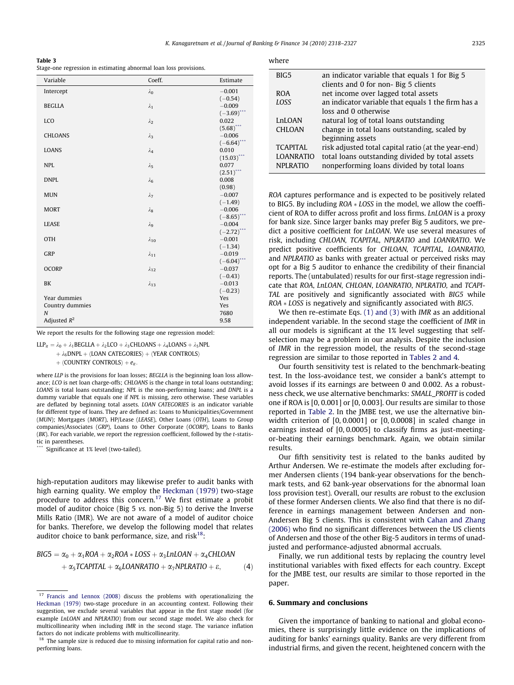<span id="page-7-0"></span>

Stage-one regression in estimating abnormal loan loss provisions.

| Variable                          | Coeff.         | Estimate                     |
|-----------------------------------|----------------|------------------------------|
| Intercept                         | $\lambda_0$    | $-0.001$                     |
|                                   |                | $(-0.54)$                    |
| <b>BEGLLA</b>                     | $\lambda_1$    | $-0.009$                     |
|                                   |                | $(-3.69)$ <sup>*</sup>       |
| LCO                               | $\lambda_2$    | 0.022                        |
|                                   |                | $(5.68)$ <sup>*</sup>        |
| <b>CHLOANS</b>                    | $\lambda_3$    | $-0.006$                     |
|                                   |                | $(-6.64)$ <sup>*</sup>       |
| LOANS                             | $\lambda_4$    | 0.010                        |
|                                   |                | $(15.03)^{*}$                |
| <b>NPL</b>                        | $\lambda_5$    | 0.077<br>$(2.51)^{^{\circ}}$ |
| <b>DNPL</b>                       |                | 0.008                        |
|                                   | $\lambda_6$    | (0.98)                       |
| <b>MUN</b>                        | $\lambda_7$    | $-0.007$                     |
|                                   |                | $(-1.49)$                    |
| <b>MORT</b>                       | $\lambda_8$    | $-0.006$                     |
|                                   |                | $(-8.65)$                    |
| <b>LEASE</b>                      | $\lambda$ 9    | $-0.004$                     |
|                                   |                | $(-2.72)$                    |
| <b>OTH</b>                        | $\lambda_{10}$ | $-0.001$                     |
|                                   |                | $(-1.34)$                    |
| GRP                               | $\lambda_{11}$ | $-0.019$                     |
|                                   |                | $(-6.04)^*$                  |
| <b>OCORP</b>                      | $\lambda_{12}$ | $-0.037$                     |
|                                   |                | $(-0.43)$                    |
| BK                                | $\lambda_{13}$ | $-0.013$                     |
|                                   |                | $(-0.23)$                    |
| Year dummies                      |                | Yes<br>Yes                   |
| Country dummies<br>$\overline{N}$ |                | 7680                         |
| Adjusted $R^2$                    |                | 9.58                         |
|                                   |                |                              |

We report the results for the following stage one regression model:

 $LLP_{it} = \lambda_0 + \lambda_1 BEGLLA + \lambda_2 LCO + \lambda_3CHLOANS + \lambda_4 LOANS + \lambda_5NPL$ 

 $+ \lambda_6$ DNPL +  $\langle$ LOAN CATEGORIES $\rangle$  +  $\langle$ YEAR CONTROLS $\rangle$ 

 $+$  (COUNTRY CONTROLS) +  $e_{it}$ .

where LLP is the provisions for loan losses; BEGLLA is the beginning loan loss allowance; LCO is net loan charge-offs; CHLOANS is the change in total loans outstanding; LOANS is total loans outstanding; NPL is the non-performing loans; and DNPL is a dummy variable that equals one if NPL is missing, zero otherwise. These variables are deflated by beginning total assets. LOAN CATEGORIES is an indicator variable for different type of loans. They are defined as: Loans to Municipalities/Government (MUN); Mortgages (MORT), HP/Lease (LEASE), Other Loans (OTH), Loans to Group companies/Associates (GRP), Loans to Other Corporate (OCORP), Loans to Banks  $(BK)$ . For each variable, we report the regression coefficient, followed by the t-statistic in parentheses.

Significance at 1% level (two-tailed).

high-reputation auditors may likewise prefer to audit banks with high earning quality. We employ the [Heckman \(1979\)](#page-9-0) two-stage procedure to address this concern.17 We first estimate a probit model of auditor choice (Big 5 vs. non-Big 5) to derive the Inverse Mills Ratio (IMR). We are not aware of a model of auditor choice for banks. Therefore, we develop the following model that relates auditor choice to bank performance, size, and risk $18$ :

$$
BIG5 = \alpha_0 + \alpha_1 ROA + \alpha_2 ROA * LOSS + \alpha_3 LnLOAN + \alpha_4 CHLOAN + \alpha_5 TCAPITAL + \alpha_6 LOANRATIO + \alpha_7 NPLRATIO + \varepsilon, \qquad (4)
$$

| BIG5             | an indicator variable that equals 1 for Big 5       |
|------------------|-----------------------------------------------------|
|                  | clients and 0 for non- Big 5 clients                |
| <b>ROA</b>       | net income over lagged total assets                 |
| <b>LOSS</b>      | an indicator variable that equals 1 the firm has a  |
|                  | loss and 0 otherwise                                |
| LnLOAN           | natural log of total loans outstanding              |
| <b>CHLOAN</b>    | change in total loans outstanding, scaled by        |
|                  | beginning assets                                    |
| <b>TCAPITAL</b>  | risk adjusted total capital ratio (at the year-end) |
| <b>LOANRATIO</b> | total loans outstanding divided by total assets     |
| <b>NPLRATIO</b>  | nonperforming loans divided by total loans          |
|                  |                                                     |

ROA captures performance and is expected to be positively related to BIG5. By including  $ROA * LOSS$  in the model, we allow the coefficient of ROA to differ across profit and loss firms. LnLOAN is a proxy for bank size. Since larger banks may prefer Big 5 auditors, we predict a positive coefficient for LnLOAN. We use several measures of risk, including CHLOAN, TCAPITAL, NPLRATIO and LOANRATIO. We predict positive coefficients for CHLOAN, TCAPITAL, LOANRATIO, and NPLRATIO as banks with greater actual or perceived risks may opt for a Big 5 auditor to enhance the credibility of their financial reports. The (untabulated) results for our first-stage regression indicate that ROA, LnLOAN, CHLOAN, LOANRATIO, NPLRATIO, and TCAPI-TAL are positively and significantly associated with BIG5 while  $ROA * LOSS$  is negatively and significantly associated with BIG5.

We then re-estimate Eqs. [\(1\) and \(3\)](#page-2-0) with IMR as an additional independent variable. In the second stage the coefficient of IMR in all our models is significant at the 1% level suggesting that selfselection may be a problem in our analysis. Despite the inclusion of IMR in the regression model, the results of the second-stage regression are similar to those reported in [Tables 2 and 4.](#page-6-0)

Our fourth sensitivity test is related to the benchmark-beating test. In the loss-avoidance test, we consider a bank's attempt to avoid losses if its earnings are between 0 and 0.002. As a robustness check, we use alternative benchmarks: SMALL\_PROFIT is coded one if ROA is [0, 0.001] or [0, 0.003]. Our results are similar to those reported in [Table 2.](#page-6-0) In the JMBE test, we use the alternative binwidth criterion of [0, 0.0001] or [0, 0.0008] in scaled change in earnings instead of [0, 0.0005] to classify firms as just-meetingor-beating their earnings benchmark. Again, we obtain similar results.

Our fifth sensitivity test is related to the banks audited by Arthur Andersen. We re-estimate the models after excluding former Andersen clients (194 bank-year observations for the benchmark tests, and 62 bank-year observations for the abnormal loan loss provision test). Overall, our results are robust to the exclusion of these former Andersen clients. We also find that there is no difference in earnings management between Andersen and non-Andersen Big 5 clients. This is consistent with [Cahan and Zhang](#page-9-0) [\(2006\)](#page-9-0) who find no significant differences between the US clients of Andersen and those of the other Big-5 auditors in terms of unadjusted and performance-adjusted abnormal accruals.

Finally, we run additional tests by replacing the country level institutional variables with fixed effects for each country. Except for the JMBE test, our results are similar to those reported in the paper.

## 6. Summary and conclusions

Given the importance of banking to national and global economies, there is surprisingly little evidence on the implications of auditing for banks' earnings quality. Banks are very different from industrial firms, and given the recent, heightened concern with the

<sup>&</sup>lt;sup>17</sup> [Francis and Lennox \(2008\)](#page-9-0) discuss the problems with operationalizing the [Heckman \(1979\)](#page-9-0) two-stage procedure in an accounting context. Following their suggestion, we exclude several variables that appear in the first stage model (for example LnLOAN and NPLRATIO) from our second stage model. We also check for multicollinearity when including IMR in the second stage. The variance inflation factors do not indicate problems with multicollinearity.

 $18$  The sample size is reduced due to missing information for capital ratio and nonperforming loans.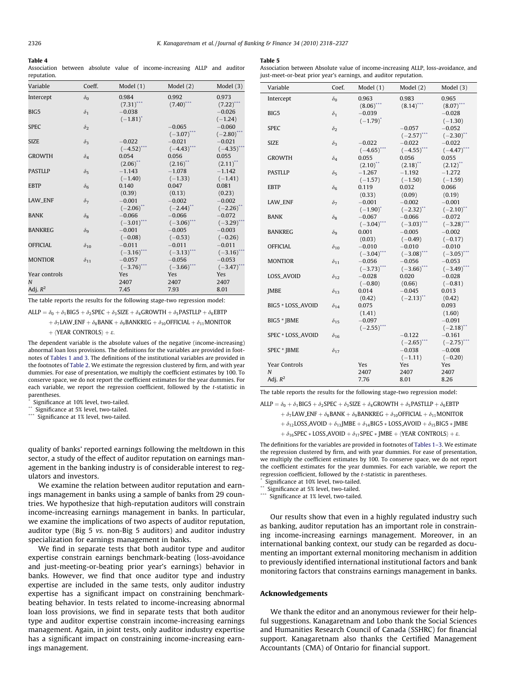#### <span id="page-8-0"></span>Table 4

Association between absolute value of income-increasing ALLP and auditor reputation.

#### Table 5

Association between Absolute value of income-increasing ALLP, loss-avoidance, and just-meet-or-beat prior year's earnings, and auditor reputatio.

| Variable        | Coeff.                | Model $(1)$                          | Model $(2)$                          | Model $(3)$                         |
|-----------------|-----------------------|--------------------------------------|--------------------------------------|-------------------------------------|
| Intercept       | $\delta_0$            | 0.984<br>$(7.31)$ ***                | 0.992<br>$(7.40)$ ***                | 0.973<br>$(7.22)$ <sup>***</sup>    |
| BIG5            | $\delta_1$            | $-0.038$<br>$(-1.81)^{*}$            |                                      | $-0.026$<br>$(-1.24)$               |
| <b>SPEC</b>     | $\delta_2$            |                                      | $-0.065$<br>$(-3.07)^{4}$            | $-0.060$<br>$(-2.80)^{^{\circ}}$    |
| <b>SIZE</b>     | $\delta_3$            | $-0.022$<br>$(-4.52)$                | $-0.021$<br>$(-4.43)^*$              | $-0.021$<br>$(-4.35)$               |
| <b>GROWTH</b>   | $\delta_4$            | 0.054<br>$(2.06)$ **                 | 0.056<br>$(2.16)$ **                 | 0.055<br>$(2.11)$ **                |
| <b>PASTLLP</b>  | $\delta_5$            | $-1.143$<br>$(-1.40)$                | $-1.078$<br>$(-1.33)$                | $-1.142$<br>$(-1.41)$               |
| <b>EBTP</b>     | $\delta_{6}$          | 0.140<br>(0.39)                      | 0.047<br>(0.13)                      | 0.081<br>(0.23)                     |
| LAW_ENF         | $\delta_7$            | $-0.001$<br>$(-2.06)$ <sup>**</sup>  | $-0.002$<br>$(-2.44)$ **             | $-0.002$<br>$(-2.26)$ <sup>**</sup> |
| <b>BANK</b>     | $\delta_8$            | $-0.066$<br>$(-3.01)$ ***            | $-0.066$<br>$(-3.06)$ ***            | $-0.072$<br>$(-3.29)^{^{\circ}}$    |
| <b>BANKREG</b>  | $\delta$ <sub>9</sub> | $-0.001$<br>$(-0.08)$                | $-0.005$<br>$(-0.53)$                | $-0.003$<br>$(-0.26)$               |
| <b>OFFICIAL</b> | $\delta_{10}$         | $-0.011$<br>$(-3.16)$ <sup>***</sup> | $-0.011$<br>$(-3.13)$ <sup>***</sup> | $-0.011$<br>$(-3.16)^{^{\circ}}$    |
| <b>MONTIOR</b>  | $\delta_{11}$         | $-0.057$<br>$(-3.76)$ <sup>***</sup> | $-0.056$<br>$(-3.66)$ ***            | $-0.053$<br>$(-3.47)^{4}$           |
| Year controls   |                       | Yes                                  | Yes                                  | <b>Yes</b>                          |
| N               |                       | 2407                                 | 2407                                 | 2407                                |
| Adj. $R^2$      |                       | 7.45                                 | 7.93                                 | 8.01                                |

The table reports the results for the following stage-two regression model:

ALLP =  $\delta_0 + \delta_1$ BIG5 +  $\delta_2$ SPEC +  $\delta_3$ SIZE +  $\delta_4$ GROWTH +  $\delta_5$ PASTLLP +  $\delta_6$ EBTP

 $\phi + \delta_7$ LAW ENF +  $\delta_8$ BANK +  $\delta_9$ BANKREG +  $\delta_{10}$ OFFICIAL +  $\delta_{11}$ MONITOR

 $+$  (YEAR CONTROLS)  $+ \varepsilon$ .

The dependent variable is the absolute values of the negative (income-increasing) abnormal loan loss provisions. The definitions for the variables are provided in footnotes of [Tables 1 and 3.](#page-5-0) The definitions of the institutional variables are provided in the footnotes of [Table 2.](#page-6-0) We estimate the regression clustered by firm, and with year dummies. For ease of presentation, we multiply the coefficient estimates by 100. To conserve space, we do not report the coefficient estimates for the year dummies. For each variable, we report the regression coefficient, followed by the t-statistic in parentheses.

Significance at 10% level, two-tailed.

Significance at 5% level, two-tailed.

\*\*\* Significance at 1% level, two-tailed.

quality of banks' reported earnings following the meltdown in this sector, a study of the effect of auditor reputation on earnings management in the banking industry is of considerable interest to regulators and investors.

We examine the relation between auditor reputation and earnings management in banks using a sample of banks from 29 countries. We hypothesize that high-reputation auditors will constrain income-increasing earnings management in banks. In particular, we examine the implications of two aspects of auditor reputation, auditor type (Big 5 vs. non-Big 5 auditors) and auditor industry specialization for earnings management in banks.

We find in separate tests that both auditor type and auditor expertise constrain earnings benchmark-beating (loss-avoidance and just-meeting-or-beating prior year's earnings) behavior in banks. However, we find that once auditor type and industry expertise are included in the same tests, only auditor industry expertise has a significant impact on constraining benchmarkbeating behavior. In tests related to income-increasing abnormal loan loss provisions, we find in separate tests that both auditor type and auditor expertise constrain income-increasing earnings management. Again, in joint tests, only auditor industry expertise has a significant impact on constraining income-increasing earnings management.

| Variable          | Coef.         | Model $(1)$              | Model $(2)$             | Model (3)                          |
|-------------------|---------------|--------------------------|-------------------------|------------------------------------|
|                   |               |                          |                         |                                    |
| Intercept         | $\delta_0$    | 0.963                    | 0.983                   | 0.965                              |
|                   |               | $(8.06)$ ***             | $(8.14)$ <sup>***</sup> | $(8.07)$ ***                       |
| BIG5              | $\delta_1$    | $-0.039$                 |                         | $-0.028$                           |
|                   |               | $(-1.79)^*$              |                         | $(-1.30)$                          |
| <b>SPEC</b>       | $\delta_2$    |                          | $-0.057$                | $-0.052$                           |
|                   |               |                          | $(-2.57)^{*}$           | $(-2.30)$ **                       |
| <b>SIZE</b>       | $\delta_3$    | $-0.022$                 | $-0.022$                | $-0.022$                           |
| <b>GROWTH</b>     |               | $(-4.65)^*$<br>0.055     | $(-4.55)^*$<br>0.056    | $(-4.47)^*$<br>0.055               |
|                   | $\delta_4$    |                          | $(2.18)$ <sup>**</sup>  |                                    |
| <b>PASTLLP</b>    |               | $(2.10)^{4}$<br>$-1.267$ | $-1.192$                | $(2.12)$ <sup>**</sup><br>$-1.272$ |
|                   | $\delta_5$    | $(-1.57)$                | $(-1.50)$               | $(-1.59)$                          |
| <b>EBTP</b>       | $\delta_6$    | 0.119                    | 0.032                   | 0.066                              |
|                   |               | (0.33)                   | (0.09)                  | (0.19)                             |
| LAW_ENF           | $\delta_7$    | $-0.001$                 | $-0.002$                | $-0.001$                           |
|                   |               | $(-1.90)^{*}$            | $(-2.32)^{4}$           | $(-2.10)^{4}$                      |
| BANK              | $\delta_8$    | $-0.067$                 | $-0.066$                | $-0.072$                           |
|                   |               | $(-3.04)^*$              | $(-3.03)^{*}$           | $(-3.28)^{^{\circ}}$               |
| <b>BANKREG</b>    | $\delta$ 9    | 0.001                    | $-0.005$                | $-0.002$                           |
|                   |               | (0.03)                   | $(-0.49)$               | $(-0.17)$                          |
| <b>OFFICIAL</b>   | $\delta_{10}$ | $-0.010$                 | $-0.010$                | $-0.010$                           |
|                   |               | $(-3.04)$ ***            | $(-3.08)^{*}$           | $(-3.05)^*$                        |
| <b>MONTIOR</b>    | $\delta_{11}$ | $-0.056$                 | $-0.056$                | $-0.053$                           |
|                   |               | $(-3.73)^{*}$            | $(-3.66)$ <sup>*</sup>  | $(-3.49)^{4}$                      |
| LOSS_AVOID        | $\delta_{12}$ | $-0.028$                 | 0.020                   | $-0.028$                           |
|                   |               | $(-0.80)$                | (0.66)                  | $(-0.81)$                          |
| <b>JMBE</b>       | $\delta_{13}$ | 0.014                    | $-0.045$                | 0.013                              |
|                   |               | (0.42)                   | $(-2.13)$ **            | (0.42)                             |
| BIG5 * LOSS_AVOID | $\delta_{14}$ | 0.075                    |                         | 0.093                              |
|                   |               | (1.41)                   |                         | (1.60)                             |
| BIG5 * IBME       | $\delta_{15}$ | $-0.097$                 |                         | $-0.091$                           |
|                   |               | $(-2.55)^*$              |                         | $(-2.18)^{4}$                      |
| SPEC * LOSS_AVOID | $\delta_{16}$ |                          | $-0.122$                | $-0.161$                           |
|                   |               |                          | $(-2.65)$ **            | $(-2.75)^{**}$                     |
| SPEC * JBME       | $\delta_{17}$ |                          | $-0.038$                | $-0.008$                           |
|                   |               |                          | $(-1.11)$               | $(-0.20)$                          |
| Year Controls     |               | Yes                      | Yes                     | Yes                                |
| N<br>Adj. $R^2$   |               | 2407<br>7.76             | 2407<br>8.01            | 2407<br>8.26                       |
|                   |               |                          |                         |                                    |

The table reports the results for the following stage-two regression model:

ALLP =  $\delta_0 + \delta_1$ BIG5 +  $\delta_2$ SPEC +  $\delta_3$ SIZE +  $\delta_4$ GROWTH +  $\delta_5$ PASTLLP +  $\delta_6$ EBTP

 $\phi_7$ LAW ENF +  $\delta_8$ BANK +  $\delta_9$ BANKREG +  $\delta_{10}$ OFFICIAL +  $\delta_{11}$ MONITOR

 $\phi_1$ <sub>2</sub>LOSS AVOID +  $\delta_{13}$ JMBE +  $\delta_{14}$ BIG5 \* LOSS AVOID +  $\delta_{15}$ BIG5 \* JMBE

 $\phi_1 \delta_{16}$ SPEC \* LOSS\_AVOID +  $\delta_{17}$ SPEC \* [MBE +  $\langle$ YEAR CONTROLS $\rangle$  +  $\varepsilon$ .

The definitions for the variables are provided in footnotes of [Tables 1–3](#page-5-0). We estimate the regression clustered by firm, and with year dummies. For ease of presentation, we multiply the coefficient estimates by 100. To conserve space, we do not report the coefficient estimates for the year dummies. For each variable, we report the regression coefficient, followed by the t-statistic in parentheses.

Significance at 10% level, two-tailed.

\*\* Significance at 5% level, two-tailed.

Significance at 1% level, two-tailed.

Our results show that even in a highly regulated industry such as banking, auditor reputation has an important role in constraining income-increasing earnings management. Moreover, in an international banking context, our study can be regarded as documenting an important external monitoring mechanism in addition to previously identified international institutional factors and bank monitoring factors that constrains earnings management in banks.

## Acknowledgements

We thank the editor and an anonymous reviewer for their helpful suggestions. Kanagaretnam and Lobo thank the Social Sciences and Humanities Research Council of Canada (SSHRC) for financial support. Kanagaretnam also thanks the Certified Management Accountants (CMA) of Ontario for financial support.